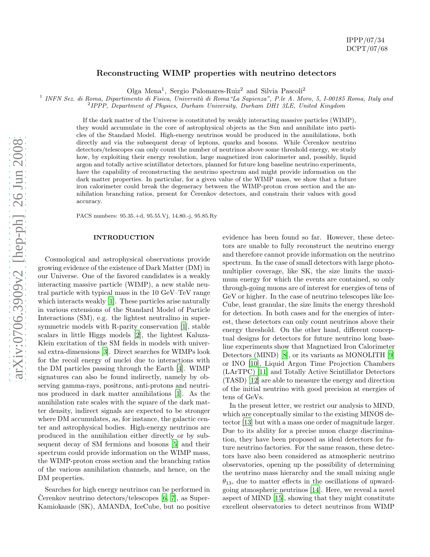# Reconstructing WIMP properties with neutrino detectors

Olga Mena<sup>1</sup> , Sergio Palomares-Ruiz<sup>2</sup> and Silvia Pascoli<sup>2</sup>

<sup>1</sup> INFN Sez. di Roma, Dipartimento di Fisica, Università di Roma "La Sapienza", P.le A. Moro, 5, I-00185 Roma, Italy and

<sup>2</sup> IPPP, Department of Physics, Durham University, Durham DH1 3LE, United Kingdom

If the dark matter of the Universe is constituted by weakly interacting massive particles (WIMP), they would accumulate in the core of astrophysical objects as the Sun and annihilate into particles of the Standard Model. High-energy neutrinos would be produced in the annihilations, both directly and via the subsequent decay of leptons, quarks and bosons. While Cerenkov neutrino detectors/telescopes can only count the number of neutrinos above some threshold energy, we study how, by exploiting their energy resolution, large magnetized iron calorimeter and, possibly, liquid argon and totally active scintillator detectors, planned for future long baseline neutrino experiments, have the capability of reconstructing the neutrino spectrum and might provide information on the dark matter properties. In particular, for a given value of the WIMP mass, we show that a future iron calorimeter could break the degeneracy between the WIMP-proton cross section and the annihilation branching ratios, present for Cerenkov detectors, and constrain their values with good accuracy.

PACS numbers: 95.35.+d, 95.55.Vj, 14.80.-j, 95.85.Ry

### INTRODUCTION

Cosmological and astrophysical observations provide growing evidence of the existence of Dark Matter (DM) in our Universe. One of the favored candidates is a weakly interacting massive particle (WIMP), a new stable neutral particle with typical mass in the 10 GeV–TeV range which interacts weakly [\[1\]](#page-5-0). These particles arise naturally in various extensions of the Standard Model of Particle Interactions (SM), e.g. the lightest neutralino in supersymmetric models with R-parity conservation [\[1\]](#page-5-0), stable scalars in little Higgs models [\[2\]](#page-5-1), the lightest Kaluza-Klein excitation of the SM fields in models with universal extra-dimensions [\[3](#page-5-2)]. Direct searches for WIMPs look for the recoil energy of nuclei due to interactions with the DM particles passing through the Earth [\[4\]](#page-5-3). WIMP signatures can also be found indirectly, namely by observing gamma-rays, positrons, anti-protons and neutrinos produced in dark matter annihilations [\[1](#page-5-0)]. As the annihilation rate scales with the square of the dark matter density, indirect signals are expected to be stronger where DM accumulates, as, for instance, the galactic center and astrophysical bodies. High-energy neutrinos are produced in the annihilation either directly or by subsequent decay of SM fermions and bosons [\[5\]](#page-5-4) and their spectrum could provide information on the WIMP mass, the WIMP-proton cross section and the branching ratios of the various annihilation channels, and hence, on the DM properties.

Searches for high energy neutrinos can be performed in Cerenkov neutrino detectors/telescopes  $[6, 7]$  $[6, 7]$ , as Super-Kamiokande (SK), AMANDA, IceCube, but no positive

evidence has been found so far. However, these detectors are unable to fully reconstruct the neutrino energy and therefore cannot provide information on the neutrino spectrum. In the case of small detectors with large photomultiplier coverage, like SK, the size limits the maximum energy for which the events are contained, so only through-going muons are of interest for energies of tens of GeV or higher. In the case of neutrino telescopes like Ice-Cube, least granular, the size limits the energy threshold for detection. In both cases and for the energies of interest, these detectors can only count neutrinos above their energy threshold. On the other hand, different conceptual designs for detectors for future neutrino long baseline experiments show that Magnetized Iron Calorimeter Detectors (MIND) [\[8\]](#page-5-7), or its variants as MONOLITH [\[9](#page-5-8)] or INO [\[10\]](#page-5-9), Liquid Argon Time Projection Chambers (LArTPC) [\[11](#page-5-10)] and Totally Active Scintillator Detectors (TASD) [\[12\]](#page-5-11) are able to measure the energy and direction of the initial neutrino with good precision at energies of tens of GeVs.

In the present letter, we restrict our analysis to MIND, which are conceptually similar to the existing MINOS detector [\[13\]](#page-5-12) but with a mass one order of magnitude larger. Due to its ability for a precise muon charge discrimination, they have been proposed as ideal detectors for future neutrino factories. For the same reason, these detectors have also been considered as atmospheric neutrino observatories, opening up the possibility of determining the neutrino mass hierarchy and the small mixing angle  $\theta_{13}$ , due to matter effects in the oscillations of upwardgoing atmospheric neutrinos [\[14](#page-5-13)]. Here, we reveal a novel aspect of MIND [\[15\]](#page-5-14), showing that they might constitute excellent observatories to detect neutrinos from WIMP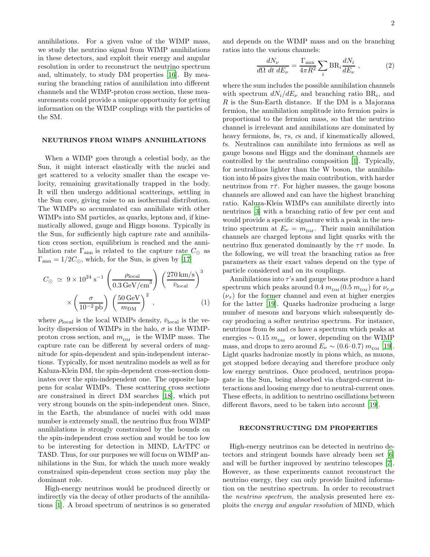annihilations. For a given value of the WIMP mass, we study the neutrino signal from WIMP annihilations in these detectors, and exploit their energy and angular resolution in order to reconstruct the neutrino spectrum and, ultimately, to study DM properties [\[16\]](#page-5-15). By measuring the branching ratios of annihilation into different channels and the WIMP-proton cross section, these measurements could provide a unique opportunity for getting information on the WIMP couplings with the particles of the SM.

## NEUTRINOS FROM WIMPS ANNIHILATIONS

When a WIMP goes through a celestial body, as the Sun, it might interact elastically with the nuclei and get scattered to a velocity smaller than the escape velocity, remaining gravitationally trapped in the body. It will then undergo additional scatterings, settling in the Sun core, giving raise to an isothermal distribution. The WIMPs so accumulated can annihilate with other WIMPs into SM particles, as quarks, leptons and, if kinematically allowed, gauge and Higgs bosons. Typically in the Sun, for sufficiently high capture rate and annihilation cross section, equilibrium is reached and the annihilation rate  $\Gamma_{\text{ann}}$  is related to the capture rate  $C_{\odot}$  as  $\Gamma_{\text{ann}} = 1/2C_{\odot}$ , which, for the Sun, is given by [\[17\]](#page-5-16)

$$
C_{\odot} \simeq 9 \times 10^{24} \text{ s}^{-1} \left( \frac{\rho_{\text{local}}}{0.3 \text{ GeV/cm}^3} \right) \left( \frac{270 \text{ km/s}}{\bar{v}_{\text{local}}} \right)^3
$$

$$
\times \left( \frac{\sigma}{10^{-2} \text{ pb}} \right) \left( \frac{50 \text{ GeV}}{m_{\text{DM}}} \right)^2 , \qquad (1)
$$

where  $\rho_{\text{local}}$  is the local WIMPs density,  $\bar{v}_{\text{local}}$  is the velocity dispersion of WIMPs in the halo,  $\sigma$  is the WIMPproton cross section, and  $m_{\hbox{\tiny DM}}\;$  is the WIMP mass. The capture rate can be different by several orders of magnitude for spin-dependent and spin-independent interactions. Typically, for most neutralino models as well as for Kaluza-Klein DM, the spin-dependent cross-section dominates over the spin-independent one. The opposite happens for scalar WIMPs. These scattering cross sections are constrained in direct DM searches [\[18\]](#page-5-17), which put very strong bounds on the spin-independent ones. Since, in the Earth, the abundance of nuclei with odd mass number is extremely small, the neutrino flux from WIMP annihilations is strongly constrained by the bounds on the spin-independent cross section and would be too low to be interesting for detection in MIND, LArTPC or TASD. Thus, for our purposes we will focus on WIMP annihilations in the Sun, for which the much more weakly constrained spin-dependent cross section may play the dominant role.

High-energy neutrinos would be produced directly or indirectly via the decay of other products of the annihilations [\[1](#page-5-0)]. A broad spectrum of neutrinos is so generated and depends on the WIMP mass and on the branching ratios into the various channels:

$$
\frac{dN_{\nu}}{d\Omega \, dt \, dE_{\nu}} = \frac{\Gamma_{\text{ann}}}{4\pi R^2} \sum_{i} \text{BR}_{i} \frac{dN_{i}}{dE_{\nu}} \,, \tag{2}
$$

where the sum includes the possible annihilation channels with spectrum  $dN_i/dE_\nu$  and branching ratio BR<sub>i</sub>, and  $R$  is the Sun-Earth distance. If the DM is a Majorana fermion, the annihilation amplitude into fermion pairs is proportional to the fermion mass, so that the neutrino channel is irrelevant and annihilations are dominated by heavy fermions, bs, τs, cs and, if kinematically allowed, ts. Neutralinos can annihilate into fermions as well as gauge bosons and Higgs and the dominant channels are controlled by the neutralino composition [\[1](#page-5-0)]. Typically, for neutralinos lighter than the W boson, the annihilation into  $b\bar{b}$  pairs gives the main contribution, with harder neutrinos from  $\tau\bar{\tau}$ . For higher masses, the gauge bosons channels are allowed and can have the highest branching ratio. Kaluza-Klein WIMPs can annihilate directly into neutrinos [\[3\]](#page-5-2) with a branching ratio of few per cent and would provide a specific signature with a peak in the neutrino spectrum at  $E_{\nu} = m_{\text{DM}}$ . Their main annihilation channels are charged leptons and light quarks with the neutrino flux generated dominantly by the  $\tau\bar{\tau}$  mode. In the following, we will treat the branching ratios as free parameters as their exact values depend on the type of particle considered and on its couplings.

Annihilations into  $\tau$ 's and gauge bosons produce a hard spectrum which peaks around 0.4  $m_{\text{DM}}(0.5 m_{\text{DM}})$  for  $\nu_{e,\mu}$  $(\nu_{\tau})$  for the former channel and even at higher energies for the latter [\[19](#page-5-18)]. Quarks hadronize producing a large number of mesons and baryons which subsequently decay producing a softer neutrino spectrum. For instance, neutrinos from bs and cs have a spectrum which peaks at energies  $\sim 0.15~m_{\text{\tiny{DM}}}$  or lower, depending on the WIMP mass, and drops to zero around  $E_{\nu} \sim (0.6-0.7) m_{\text{DM}}$  [\[19\]](#page-5-18). Light quarks hadronize mostly in pions which, as muons, get stopped before decaying and therefore produce only low energy neutrinos. Once produced, neutrinos propagate in the Sun, being absorbed via charged-current interactions and loosing energy due to neutral-current ones. These effects, in addition to neutrino oscillations between different flavors, need to be taken into account [\[19](#page-5-18)].

## RECONSTRUCTING DM PROPERTIES

High-energy neutrinos can be detected in neutrino detectors and stringent bounds have already been set [\[6](#page-5-5)] and will be further improved by neutrino telescopes [\[7\]](#page-5-6). However, as these experiments cannot reconstruct the neutrino energy, they can only provide limited information on the neutrino spectrum. In order to reconstruct the neutrino spectrum, the analysis presented here exploits the energy and angular resolution of MIND, which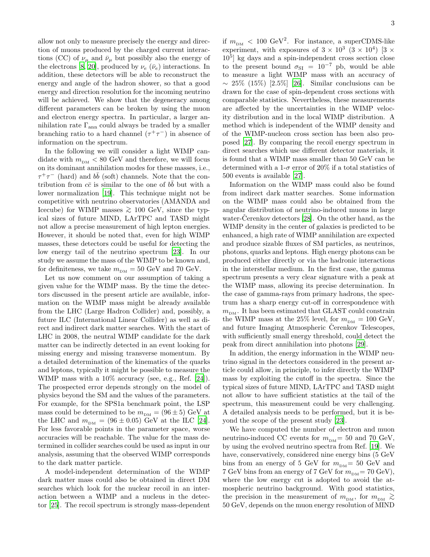allow not only to measure precisely the energy and direction of muons produced by the charged current interactions (CC) of  $\nu_{\mu}$  and  $\bar{\nu}_{\mu}$  but possibly also the energy of the electrons [\[8,](#page-5-7) [20](#page-5-19)], produced by  $\nu_e$  ( $\bar{\nu}_e$ ) interactions. In addition, these detectors will be able to reconstruct the energy and angle of the hadron shower, so that a good energy and direction resolution for the incoming neutrino will be achieved. We show that the degeneracy among different parameters can be broken by using the muon and electron energy spectra. In particular, a larger annihilation rate  $\Gamma_{\text{ann}}$  could always be traded by a smaller branching ratio to a hard channel  $(\tau^+\tau^-)$  in absence of information on the spectrum.

In the following we will consider a light WIMP candidate with  $m_{\hbox{\tiny{DM}}} < 80$  GeV and therefore, we will focus on its dominant annihilation modes for these masses, i.e.,  $\tau^+\tau^-$  (hard) and  $b\bar{b}$  (soft) channels. Note that the contribution from  $c\bar{c}$  is similar to the one of  $b\bar{b}$  but with a lower normalization [\[19\]](#page-5-18). This technique might not be competitive with neutrino observatories (AMANDA and Icecube) for WIMP masses  $\geq 100$  GeV, since the typical sizes of future MIND, LArTPC and TASD might not allow a precise measurement of high lepton energies. However, it should be noted that, even for high WIMP masses, these detectors could be useful for detecting the low energy tail of the neutrino spectrum [\[23\]](#page-5-20). In our study we assume the mass of the WIMP to be known and, for definiteness, we take  $m_{\text{DM}} = 50 \text{ GeV}$  and 70 GeV.

Let us now comment on our assumption of taking a given value for the WIMP mass. By the time the detectors discussed in the present article are available, information on the WIMP mass might be already available from the LHC (Large Hadron Collider) and, possibly, a future ILC (International Linear Collider) as well as direct and indirect dark matter searches. With the start of LHC in 2008, the neutral WIMP candidate for the dark matter can be indirectly detected in an event looking for missing energy and missing transverse momentum. By a detailed determination of the kinematics of the quarks and leptons, typically it might be possible to measure the WIMP mass with a 10% accuracy (see, e.g., Ref. [\[24\]](#page-5-21)). The prospected error depends strongly on the model of physics beyond the SM and the values of the parameters. For example, for the SPS1a benchmark point, the LSP mass could be determined to be  $m_{DM} = (96 \pm 5)$  GeV at the LHC and  $m_{DM} = (96 \pm 0.05)$  GeV at the ILC [\[24\]](#page-5-21). For less favorable points in the parameter space, worse accuracies will be reachable. The value for the mass determined in collider searches could be used as input in our analysis, assuming that the observed WIMP corresponds to the dark matter particle.

A model-independent determination of the WIMP dark matter mass could also be obtained in direct DM searches which look for the nuclear recoil in an interaction between a WIMP and a nucleus in the detector [\[25\]](#page-5-22). The recoil spectrum is strongly mass-dependent

if  $m_{\text{DM}} < 100 \text{ GeV}^2$ . For instance, a superCDMS-like experiment, with exposures of  $3 \times 10^3$   $(3 \times 10^4)$   $[3 \times$ 10<sup>5</sup> ] kg days and a spin-independent cross section close to the present bound  $\sigma_{SI} = 10^{-7}$  pb, would be able to measure a light WIMP mass with an accuracy of  $\sim 25\%$  (15%) [2.5%] [\[26](#page-5-23)]. Similar conclusions can be drawn for the case of spin-dependent cross sections with comparable statistics. Nevertheless, these measurements are affected by the uncertainties in the WIMP velocity distribution and in the local WIMP distribution. A method which is independent of the WIMP density and of the WIMP-nucleon cross section has been also proposed [\[27\]](#page-5-24). By comparing the recoil energy spectrum in direct searches which use different detector materials, it is found that a WIMP mass smaller than 50 GeV can be determined with a 1- $\sigma$  error of 20% if a total statistics of 500 events is available [\[27](#page-5-24)].

Information on the WIMP mass could also be found from indirect dark matter searches. Some information on the WIMP mass could also be obtained from the angular distribution of neutrino-induced muons in large water-Cerenkov detectors  $[28]$ . On the other hand, as the WIMP density in the center of galaxies is predicted to be enhanced, a high rate of WIMP annihilation are expected and produce sizable fluxes of SM particles, as neutrinos, photons, quarks and leptons. High energy photons can be produced either directly or via the hadronic interactions in the interstellar medium. In the first case, the gamma spectrum presents a very clear signature with a peak at the WIMP mass, allowing its precise determination. In the case of gamma-rays from primary hadrons, the spectrum has a sharp energy cut-off in correspondence with  $m_{\text{DM}}$ . It has been estimated that GLAST could constrain the WIMP mass at the 25% level, for  $m_{DM} = 100 \text{ GeV}$ , and future Imaging Atmospheric Cerenkov Telescopes, with sufficiently small energy threshold, could detect the peak from direct annihilation into photons [\[29\]](#page-5-26).

In addition, the energy information in the WIMP neutrino signal in the detectors considered in the present article could allow, in principle, to infer directly the WIMP mass by exploiting the cutoff in the spectra. Since the typical sizes of future MIND, LArTPC and TASD might not allow to have sufficient statistics at the tail of the spectrum, this measurement could be very challenging. A detailed analysis needs to be performed, but it is beyond the scope of the present study [\[23\]](#page-5-20).

We have computed the number of electron and muon neutrino-induced CC events for  $m_{DM}$  = 50 and 70 GeV, by using the evolved neutrino spectra from Ref. [\[19\]](#page-5-18). We have, conservatively, considered nine energy bins (5 GeV bins from an energy of 5 GeV for  $m_{\text{DM}} = 50$  GeV and 7 GeV bins from an energy of 7 GeV for  $m_{DM} = 70$  GeV), where the low energy cut is adopted to avoid the atmospheric neutrino background. With good statistics, the precision in the measurement of  $m_{\text{\tiny{DM}}} ,$  for  $m_{\text{\tiny{DM}}} \, \gtrsim \,$ 50 GeV, depends on the muon energy resolution of MIND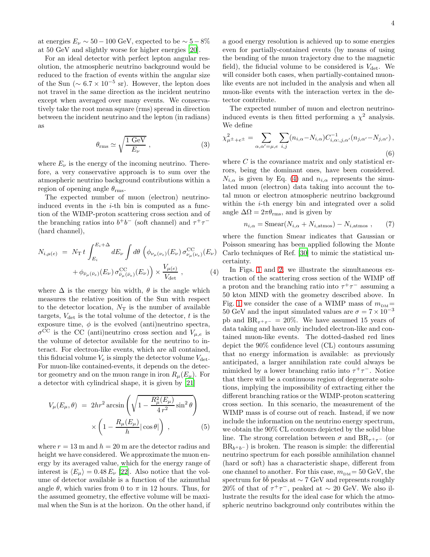at energies  $E_{\nu} \sim 50 - 100$  GeV, expected to be  $\sim 5 - 8\%$ at 50 GeV and slightly worse for higher energies [\[20\]](#page-5-19).

For an ideal detector with perfect lepton angular resolution, the atmospheric neutrino background would be reduced to the fraction of events within the angular size of the Sun ( $\sim 6.7 \times 10^{-5}$  sr). However, the lepton does not travel in the same direction as the incident neutrino except when averaged over many events. We conservatively take the root mean square (rms) spread in direction between the incident neutrino and the lepton (in radians) as

<span id="page-3-1"></span>
$$
\theta_{\rm rms} \simeq \sqrt{\frac{1 \text{ GeV}}{E_{\nu}}},\tag{3}
$$

where  $E_{\nu}$  is the energy of the incoming neutrino. Therefore, a very conservative approach is to sum over the atmospheric neutrino background contributions within a region of opening angle  $\theta_{\rm rms}$ .

The expected number of muon (electron) neutrinoinduced events in the  $i$ -th bin is computed as a function of the WIMP-proton scattering cross section and of the branching ratios into  $b^+b^-$  (soft channel) and  $\tau^+\tau^-$ (hard channel),

<span id="page-3-0"></span>
$$
N_{i,\mu(e)} = N_{\rm T} t \int_{E_i}^{E_i + \Delta} dE_{\nu} \int d\theta \left( \phi_{\nu_{\mu}(\nu_e)}(E_{\nu}) \sigma_{\nu_{\mu}(\nu_e)}^{\rm CC}(E_{\nu}) + \phi_{\bar{\nu}_{\mu}(\bar{\nu}_e)}(E_{\nu}) \sigma_{\bar{\nu}_{\mu}(\bar{\nu}_e)}^{\rm CC}(E_{\nu}) \right) \times \frac{V_{\mu(e)}}{V_{\rm det}} , \qquad (4)
$$

where  $\Delta$  is the energy bin width,  $\theta$  is the angle which measures the relative position of the Sun with respect to the detector location,  $N_T$  is the number of available targets,  $V_{\text{det}}$  is the total volume of the detector, t is the exposure time,  $\phi$  is the evolved (anti)neutrino spectra,  $\sigma^{\rm CC}$  is the CC (anti)neutrino cross section and  $V_{\mu,e}$  is the volume of detector available for the neutrino to interact. For electron-like events, which are all contained, this fiducial volume  $V_e$  is simply the detector volume  $V_{\text{det}}$ . For muon-like contained-events, it depends on the detector geometry and on the muon range in iron  $R_{\mu}(E_{\mu})$ . For a detector with cylindrical shape, it is given by [\[21\]](#page-5-27)

$$
V_{\mu}(E_{\mu}, \theta) = 2hr^{2} \arcsin\left(\sqrt{1 - \frac{R_{\mu}^{2}(E_{\mu})}{4r^{2}} \sin^{2} \theta}\right) \times \left(1 - \frac{R_{\mu}(E_{\mu})}{h} |\cos \theta|\right), \qquad (5)
$$

where  $r = 13$  m and  $h = 20$  m are the detector radius and height we have considered. We approximate the muon energy by its averaged value, which for the energy range of interest is  $\langle E_{\mu} \rangle = 0.48 E_{\nu}$  [\[22\]](#page-5-28). Also notice that the volume of detector available is a function of the azimuthal angle  $\theta$ , which varies from 0 to  $\pi$  in 12 hours. Thus, for the assumed geometry, the effective volume will be maximal when the Sun is at the horizon. On the other hand, if a good energy resolution is achieved up to some energies even for partially-contained events (by means of using the bending of the muon trajectory due to the magnetic field), the fiducial volume to be considered is  $V_{\text{det}}$ . We will consider both cases, when partially-contained muonlike events are not included in the analysis and when all muon-like events with the interaction vertex in the detector contribute.

The expected number of muon and electron neutrinoinduced events is then fitted performing a  $\chi^2$  analysis. We define

$$
\chi_{\mu^{\pm}+e^{\pm}}^{2} = \sum_{\alpha,\alpha'= \mu, e} \sum_{i,j} (n_{i,\alpha} - N_{i,\alpha}) C_{i,\alpha;j,\alpha'}^{-1}(n_{j,\alpha'} - N_{j,\alpha'}) ,
$$
\n(6)

where  $C$  is the covariance matrix and only statistical errors, being the dominant ones, have been considered.  $N_{i,\alpha}$  is given by Eq. [\(4\)](#page-3-0) and  $n_{i,\alpha}$  represents the simulated muon (electron) data taking into account the total muon or electron atmospheric neutrino background within the *i*-th energy bin and integrated over a solid angle  $\Delta\Omega = 2\pi\theta_{\rm rms}$ , and is given by

$$
n_{i,\alpha} = \text{Smear}(N_{i,\alpha} + N_{i,\text{atmos}}) - N_{i,\text{atmos}} ,\qquad(7)
$$

where the function Smear indicates that Gaussian or Poisson smearing has been applied following the Monte Carlo techniques of Ref. [\[30\]](#page-5-29) to mimic the statistical uncertainty.

In Figs. [1](#page-4-0) and [2,](#page-4-1) we illustrate the simultaneous extraction of the scattering cross section of the WIMP off a proton and the branching ratio into  $\tau^+\tau^-$  assuming a 50 kton MIND with the geometry described above. In Fig. [1](#page-4-0) we consider the case of a WIMP mass of  $m_{DM} =$ 50 GeV and the input simulated values are  $\sigma = 7 \times 10^{-3}$ pb and  $BR_{\tau^+\tau^-} = 20\%$ . We have assumed 15 years of data taking and have only included electron-like and contained muon-like events. The dotted-dashed red lines depict the 90% confidence level (CL) contours assuming that no energy information is available: as previously anticipated, a larger annihilation rate could always be mimicked by a lower branching ratio into  $\tau^+\tau^-$ . Notice that there will be a continuous region of degenerate solutions, implying the impossibility of extracting either the different branching ratios or the WIMP-proton scattering cross section. In this scenario, the measurement of the WIMP mass is of course out of reach. Instead, if we now include the information on the neutrino energy spectrum, we obtain the 90% CL contours depicted by the solid blue line. The strong correlation between  $\sigma$  and BR<sub> $\tau$ + $\tau$ </sub>- (or  $BR_{b+b-}$ ) is broken. The reason is simple: the differential neutrino spectrum for each possible annihilation channel (hard or soft) has a characteristic shape, different from one channel to another. For this case,  $m_{DM} = 50$  GeV, the spectrum for  $b\bar{b}$  peaks at  $\sim 7$  GeV and represents roughly 20% of that of  $\tau^+\tau^-$ , peaked at  $\sim$  20 GeV. We also illustrate the results for the ideal case for which the atmospheric neutrino background only contributes within the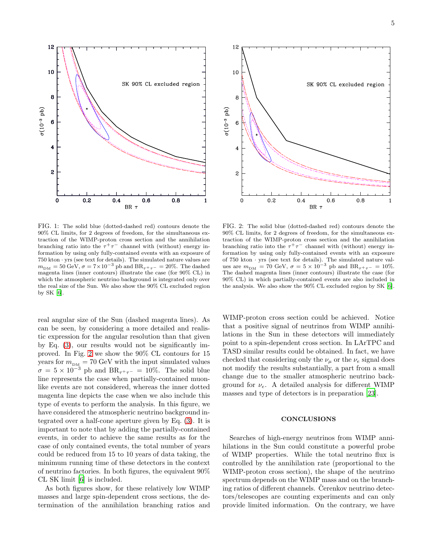10 SK 90% CL excluded region  $\bf{8}$  $(10^{-3} \text{ pb})$ 6  $\boldsymbol{z}$  $\ddot{\text{o}}$  $0.2$  $0.4$  $0.6$  $0.8$ BR τ FIG. 1: The solid blue (dotted-dashed red) contours denote the

12

<span id="page-4-0"></span>90% CL limits, for 2 degrees of freedom, for the simultaneous extraction of the WIMP-proton cross section and the annihilation branching ratio into the  $\tau^+\tau^-$  channel with (without) energy information by using only fully-contained events with an exposure of  $750$  kton  $\cdot$  yrs (see text for details). The simulated nature values are  $m_{\text{DM}} = 50 \text{ GeV}, \sigma = 7 \times 10^{-3} \text{ pb}$  and  $BR_{\tau^+ \tau^-} = 20\%$ . The dashed magenta lines (inner contours) illustrate the case (for 90% CL) in which the atmospheric neutrino background is integrated only over the real size of the Sun. We also show the 90% CL excluded region by SK [\[6\]](#page-5-5).

real angular size of the Sun (dashed magenta lines). As can be seen, by considering a more detailed and realistic expression for the angular resolution than that given by Eq. [\(3\)](#page-3-1), our results would not be significantly improved. In Fig. [2](#page-4-1) we show the 90% CL contours for 15 years for  $m_{\text{DM}} = 70 \text{ GeV}$  with the input simulated values  $\sigma = 5 \times 10^{-3}$  pb and  $BR_{\tau^+\tau^-} = 10\%$ . The solid blue line represents the case when partially-contained muonlike events are not considered, whereas the inner dotted magenta line depicts the case when we also include this type of events to perform the analysis. In this figure, we have considered the atmospheric neutrino background integrated over a half-cone aperture given by Eq. [\(3\)](#page-3-1). It is important to note that by adding the partially-contained events, in order to achieve the same results as for the case of only contained events, the total number of years could be reduced from 15 to 10 years of data taking, the minimum running time of these detectors in the context of neutrino factories. In both figures, the equivalent 90% CL SK limit [\[6\]](#page-5-5) is included.

As both figures show, for these relatively low WIMP masses and large spin-dependent cross sections, the determination of the annihilation branching ratios and

<span id="page-4-1"></span>FIG. 2: The solid blue (dotted-dashed red) contours denote the 90% CL limits, for 2 degrees of freedom, for the simultaneous extraction of the WIMP-proton cross section and the annihilation branching ratio into the  $\tau^+\tau^-$  channel with (without) energy information by using only fully-contained events with an exposure of 750 kton · yrs (see text for details). The simulated nature values are  $m_{\text{DM}} = 70 \text{ GeV}, \sigma = 5 \times 10^{-3} \text{ pb}$  and  $BR_{\tau^+ \tau^-} = 10\%$ . The dashed magenta lines (inner contours) illustrate the case (for 90% CL) in which partially-contained events are also included in the analysis. We also show the 90% CL excluded region by SK [\[6](#page-5-5)].

WIMP-proton cross section could be achieved. Notice that a positive signal of neutrinos from WIMP annihilations in the Sun in these detectors will immediately point to a spin-dependent cross section. In LArTPC and TASD similar results could be obtained. In fact, we have checked that considering only the  $\nu_{\mu}$  or the  $\nu_{e}$  signal does not modify the results substantially, a part from a small change due to the smaller atmospheric neutrino background for  $\nu_e$ . A detailed analysis for different WIMP masses and type of detectors is in preparation [\[23\]](#page-5-20).

#### **CONCLUSIONS**

Searches of high-energy neutrinos from WIMP annihilations in the Sun could constitute a powerful probe of WIMP properties. While the total neutrino flux is controlled by the annihilation rate (proportional to the WIMP-proton cross section), the shape of the neutrino spectrum depends on the WIMP mass and on the branching ratios of different channels. Cerenkov neutrino detectors/telescopes are counting experiments and can only provide limited information. On the contrary, we have